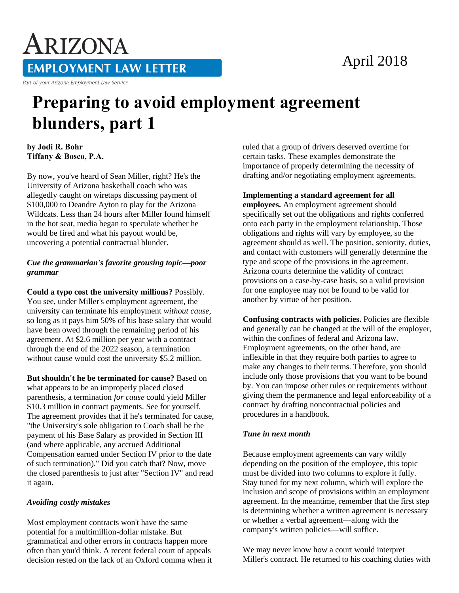# April 2018

ARIZONA **EMPLOYMENT LAW LETTER** Part of your Arizona Employment Law Service

# **Preparing to avoid employment agreement blunders, part 1**

**by Jodi R. Bohr Tiffany & Bosco, P.A.** 

By now, you've heard of Sean Miller, right? He's the University of Arizona basketball coach who was allegedly caught on wiretaps discussing payment of \$100,000 to Deandre Ayton to play for the Arizona Wildcats. Less than 24 hours after Miller found himself in the hot seat, media began to speculate whether he would be fired and what his payout would be, uncovering a potential contractual blunder.

#### *Cue the grammarian's favorite grousing topic—poor grammar*

**Could a typo cost the university millions?** Possibly. You see, under Miller's employment agreement, the university can terminate his employment *without cause,* so long as it pays him 50% of his base salary that would have been owed through the remaining period of his agreement. At \$2.6 million per year with a contract through the end of the 2022 season, a termination without cause would cost the university \$5.2 million.

**But shouldn't he be terminated for cause?** Based on what appears to be an improperly placed closed parenthesis, a termination *for cause* could yield Miller \$10.3 million in contract payments. See for yourself. The agreement provides that if he's terminated for cause, "the University's sole obligation to Coach shall be the payment of his Base Salary as provided in Section III (and where applicable, any accrued Additional Compensation earned under Section IV prior to the date of such termination)." Did you catch that? Now, move the closed parenthesis to just after "Section IV" and read it again.

## *Avoiding costly mistakes*

Most employment contracts won't have the same potential for a multimillion-dollar mistake. But grammatical and other errors in contracts happen more often than you'd think. A recent federal court of appeals decision rested on the lack of an Oxford comma when it ruled that a group of drivers deserved overtime for certain tasks. These examples demonstrate the importance of properly determining the necessity of drafting and/or negotiating employment agreements.

#### **Implementing a standard agreement for all**

**employees.** An employment agreement should specifically set out the obligations and rights conferred onto each party in the employment relationship. Those obligations and rights will vary by employee, so the agreement should as well. The position, seniority, duties, and contact with customers will generally determine the type and scope of the provisions in the agreement. Arizona courts determine the validity of contract provisions on a case-by-case basis, so a valid provision for one employee may not be found to be valid for another by virtue of her position.

**Confusing contracts with policies.** Policies are flexible and generally can be changed at the will of the employer, within the confines of federal and Arizona law. Employment agreements, on the other hand, are inflexible in that they require both parties to agree to make any changes to their terms. Therefore, you should include only those provisions that you want to be bound by. You can impose other rules or requirements without giving them the permanence and legal enforceability of a contract by drafting noncontractual policies and procedures in a handbook.

## *Tune in next month*

Because employment agreements can vary wildly depending on the position of the employee, this topic must be divided into two columns to explore it fully. Stay tuned for my next column, which will explore the inclusion and scope of provisions within an employment agreement. In the meantime, remember that the first step is determining whether a written agreement is necessary or whether a verbal agreement—along with the company's written policies—will suffice.

We may never know how a court would interpret Miller's contract. He returned to his coaching duties with